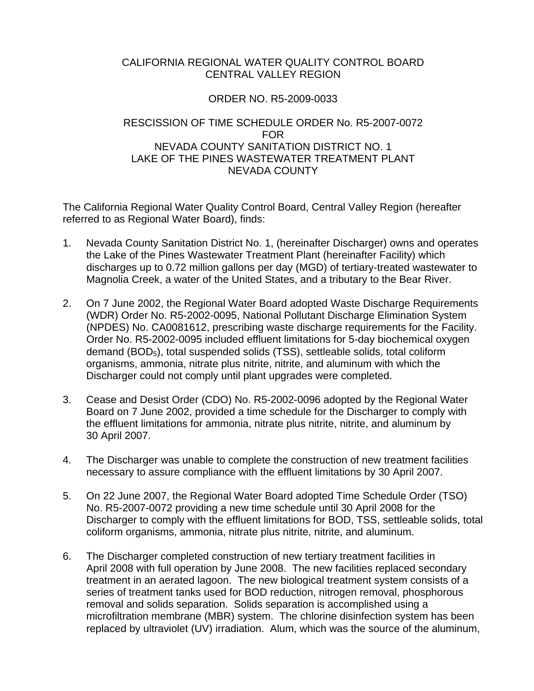## CALIFORNIA REGIONAL WATER QUALITY CONTROL BOARD CENTRAL VALLEY REGION

## ORDER NO. R5-2009-0033

## RESCISSION OF TIME SCHEDULE ORDER No. R5-2007-0072 FOR NEVADA COUNTY SANITATION DISTRICT NO. 1 LAKE OF THE PINES WASTEWATER TREATMENT PLANT NEVADA COUNTY

The California Regional Water Quality Control Board, Central Valley Region (hereafter referred to as Regional Water Board), finds:

- 1. Nevada County Sanitation District No. 1, (hereinafter Discharger) owns and operates the Lake of the Pines Wastewater Treatment Plant (hereinafter Facility) which discharges up to 0.72 million gallons per day (MGD) of tertiary-treated wastewater to Magnolia Creek, a water of the United States, and a tributary to the Bear River.
- 2. On 7 June 2002, the Regional Water Board adopted Waste Discharge Requirements (WDR) Order No. R5-2002-0095, National Pollutant Discharge Elimination System (NPDES) No. CA0081612, prescribing waste discharge requirements for the Facility. Order No. R5-2002-0095 included effluent limitations for 5-day biochemical oxygen demand (BOD<sub>5</sub>), total suspended solids (TSS), settleable solids, total coliform organisms, ammonia, nitrate plus nitrite, nitrite, and aluminum with which the Discharger could not comply until plant upgrades were completed.
- 3. Cease and Desist Order (CDO) No. R5-2002-0096 adopted by the Regional Water Board on 7 June 2002, provided a time schedule for the Discharger to comply with the effluent limitations for ammonia, nitrate plus nitrite, nitrite, and aluminum by 30 April 2007.
- 4. The Discharger was unable to complete the construction of new treatment facilities necessary to assure compliance with the effluent limitations by 30 April 2007.
- 5. On 22 June 2007, the Regional Water Board adopted Time Schedule Order (TSO) No. R5-2007-0072 providing a new time schedule until 30 April 2008 for the Discharger to comply with the effluent limitations for BOD, TSS, settleable solids, total coliform organisms, ammonia, nitrate plus nitrite, nitrite, and aluminum.
- 6. The Discharger completed construction of new tertiary treatment facilities in April 2008 with full operation by June 2008. The new facilities replaced secondary treatment in an aerated lagoon. The new biological treatment system consists of a series of treatment tanks used for BOD reduction, nitrogen removal, phosphorous removal and solids separation. Solids separation is accomplished using a microfiltration membrane (MBR) system. The chlorine disinfection system has been replaced by ultraviolet (UV) irradiation. Alum, which was the source of the aluminum,